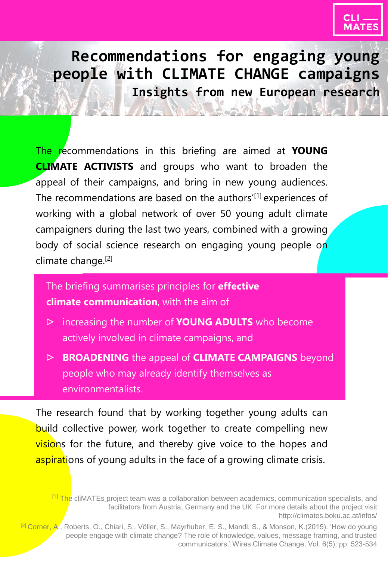

**Recommendations for engaging young people with CLIMATE CHANGE campaigns Insights from new European research**

The recommendations in this briefing are aimed at **YOUNG CLIMATE ACTIVISTS** and groups who want to broaden the appeal of their campaigns, and bring in new young audiences. The recommendations are based on the authors'<sup>[1]</sup> experiences of working with a global network of over 50 young adult climate campaigners during the last two years, combined with a growing body of social science research on engaging young people on climate change. [2]

The briefing summarises principles for **effective climate communication**, with the aim of

- ᐅ increasing the number of **YOUNG ADULTS** who become actively involved in climate campaigns, and
- ᐅ **BROADENING** the appeal of **CLIMATE CAMPAIGNS** beyond people who may already identify themselves as environmentalists.

The research found that by working together young adults can build collective power, work together to create compelling new visions for the future, and thereby give voice to the hopes and aspirations of young adults in the face of a growing climate crisis.

<sup>&</sup>lt;sup>[1]</sup> The cliMATEs project team was a collaboration between academics, communication specialists, and facilitators from Austria, Germany and the UK. For more details about the project visit http://climates.boku.ac.at/infos/

<sup>&</sup>lt;sup>[2]</sup> Corner, A., Roberts, O., Chiari, S., Völler, S., Mayrhuber, E. S., Mandl, S., & Monson, K.(2015). 'How do young people engage with climate change? The role of knowledge, values, message framing, and trusted communicators.' Wires Climate Change, Vol. 6(5), pp. 523-534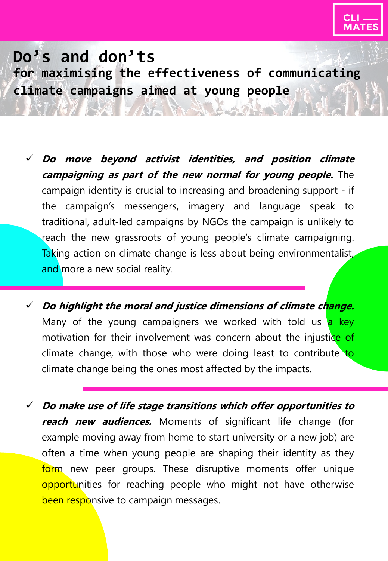

- **Do move beyond activist identities, and position climate campaigning as part of the new normal for young people.** The campaign identity is crucial to increasing and broadening support - if the campaign's messengers, imagery and language speak to traditional, adult-led campaigns by NGOs the campaign is unlikely to reach the new grassroots of young people's climate campaigning. Taking action on climate change is less about being environmentalist, and more a new social reality.
- **Do highlight the moral and justice dimensions of climate change.** Many of the young campaigners we worked with told us a key motivation for their involvement was concern about the injustice of climate change, with those who were doing least to contribute to climate change being the ones most affected by the impacts.
- **Do make use of life stage transitions which offer opportunities to reach new audiences.** Moments of significant life change (for example moving away from home to start university or a new job) are often a time when young people are shaping their identity as they form new peer groups. These disruptive moments offer unique opportunities for reaching people who might not have otherwise been responsive to campaign messages.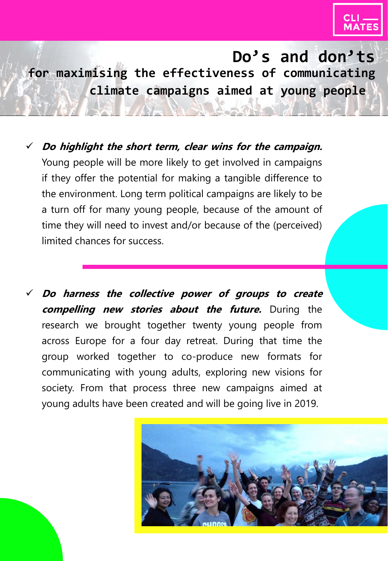

- **Do highlight the short term, clear wins for the campaign.** Young people will be more likely to get involved in campaigns if they offer the potential for making a tangible difference to the environment. Long term political campaigns are likely to be a turn off for many young people, because of the amount of time they will need to invest and/or because of the (perceived) limited chances for success.
- **Do harness the collective power of groups to create compelling new stories about the future.** During the research we brought together twenty young people from across Europe for a four day retreat. During that time the group worked together to co-produce new formats for communicating with young adults, exploring new visions for society. From that process three new campaigns aimed at young adults have been created and will be going live in 2019.

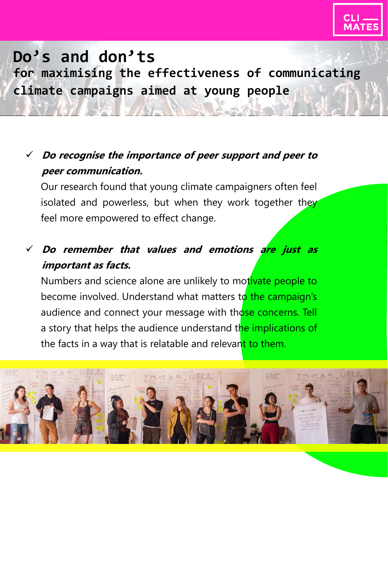

### **Do recognise the importance of peer support and peer to peer communication.**

Our research found that young climate campaigners often feel isolated and powerless, but when they work together they feel more empowered to effect change.

### **Do remember that values and emotions are just as important as facts.**

Numbers and science alone are unlikely to motivate people to become involved. Understand what matters to the campaign's audience and connect your message with those concerns. Tell a story that helps the audience understand the implications of the facts in a way that is relatable and relevant to them.

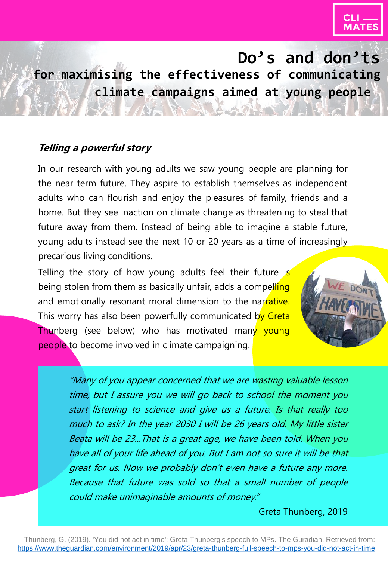

#### **Telling a powerful story**

In our research with young adults we saw young people are planning for the near term future. They aspire to establish themselves as independent adults who can flourish and enjoy the pleasures of family, friends and a home. But they see inaction on climate change as threatening to steal that future away from them. Instead of being able to imagine a stable future, young adults instead see the next 10 or 20 years as a time of increasingly precarious living conditions.

Telling the story of how young adults feel their future is being stolen from them as basically unfair, adds a compelling and emotionally resonant moral dimension to the narrative. This worry has also been powerfully communicated by Greta **Thunberg** (see below) who has motivated many young people to become involved in climate campaigning.



"Many of you appear concerned that we are wasting valuable lesson time, but I assure you we will go back to school the moment you start listening to science and give us <sup>a</sup> future. Is that really too much to ask? In the year 2030 I will be 26 years old. My little sister Beata will be 23...That is <sup>a</sup> great age, we have been told. When you have all of your life ahead of you. But I am not so sure it will be that great for us. Now we probably don't even have <sup>a</sup> future any more. Because that future was sold so that <sup>a</sup> small number of people could make unimaginable amounts of money."

Greta Thunberg, 2019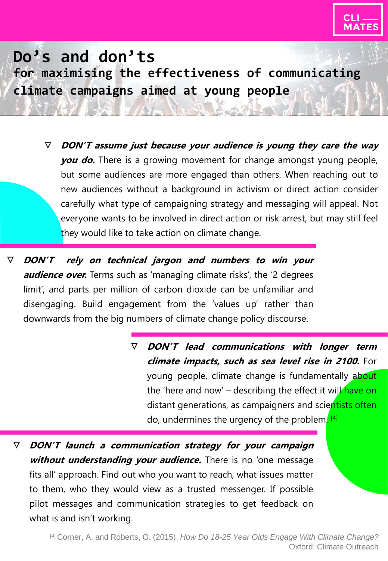

ᐁ **DON'T assume just because your audience is young they care the way you do.** There is a growing movement for change amongst young people, but some audiences are more engaged than others. When reaching out to new audiences without a background in activism or direct action consider carefully what type of campaigning strategy and messaging will appeal. Not everyone wants to be involved in direct action or risk arrest, but may still feel they would like to take action on climate change.

ᐁ **DON'T rely on technical jargon and numbers to win your audience over.** Terms such as 'managing climate risks', the '2 degrees limit', and parts per million of carbon dioxide can be unfamiliar and disengaging. Build engagement from the 'values up' rather than downwards from the big numbers of climate change policy discourse.

> ᐁ **DON'T lead communications with longer term climate impacts, such as sea level rise in 2100.** For young people, climate change is fundamentally about the 'here and now' – describing the effect it will have on distant generations, as campaigners and scientists often do, undermines the urgency of the problem. <sup>[4]</sup>

ᐁ **DON'T launch <sup>a</sup> communication strategy for your campaign without understanding your audience.** There is no 'one message fits all' approach. Find out who you want to reach, what issues matter to them, who they would view as a trusted messenger. If possible pilot messages and communication strategies to get feedback on what is and isn't working.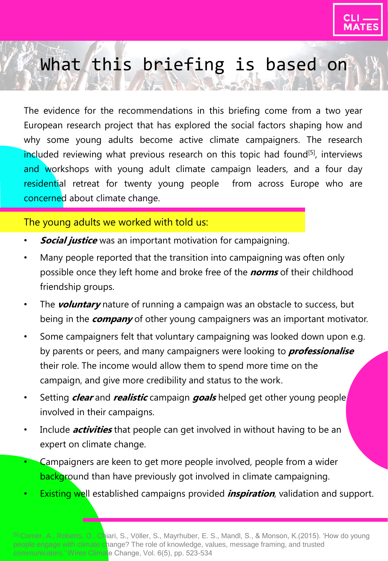

# What this briefing is based on

The evidence for the recommendations in this briefing come from a two year European research project that has explored the social factors shaping how and why some young adults become active climate campaigners. The research included reviewing what previous research on this topic had found<sup>[5]</sup>, interviews and workshops with young adult climate campaign leaders, and a four day residential retreat for twenty young people from across Europe who are concerned about climate change.

#### The young adults we worked with told us:

- **Social justice** was an important motivation for campaigning.
- Many people reported that the transition into campaigning was often only possible once they left home and broke free of the **norms** of their childhood friendship groups.
- The **voluntary** nature of running a campaign was an obstacle to success, but being in the **company** of other young campaigners was an important motivator.
- Some campaigners felt that voluntary campaigning was looked down upon e.g. by parents or peers, and many campaigners were looking to **professionalise** their role. The income would allow them to spend more time on the campaign, and give more credibility and status to the work.
- Setting **clear** and **realistic** campaign **goals** helped get other young people involved in their campaigns.
- Include **activities** that people can get involved in without having to be an expert on climate change.
- Campaigners are keen to get more people involved, people from a wider background than have previously got involved in climate campaigning.
- Existing well established campaigns provided **inspiration**, validation and support.

[5] Corner, A., Roberts, O., Chiari, S., Völler, S., Mayrhuber, E. S., Mandl, S., & Monson, K.(2015). 'How do young people engage with climate change? The role of knowledge, values, message framing, and trusted communicators.' Wires Climate Change, Vol. 6(5), pp. 523-534